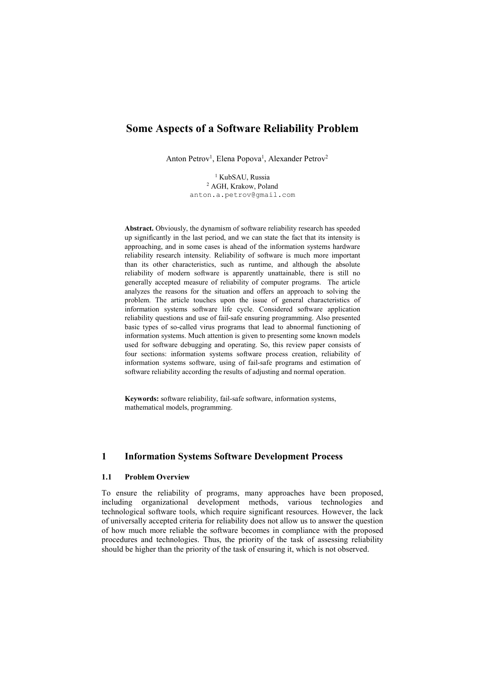# **Some Aspects of a Software Reliability Problem**

Anton Petrov<sup>1</sup>, Elena Popova<sup>1</sup>, Alexander Petrov<sup>2</sup>

<sup>1</sup> KubSAU, Russia <sup>2</sup> AGH, Krakow, Poland anton.a.petrov@gmail.com

**Abstract.** Obviously, the dynamism of software reliability research has speeded up significantly in the last period, and we can state the fact that its intensity is approaching, and in some cases is ahead of the information systems hardware reliability research intensity. Reliability of software is much more important than its other characteristics, such as runtime, and although the absolute reliability of modern software is apparently unattainable, there is still no generally accepted measure of reliability of computer programs. The article analyzes the reasons for the situation and offers an approach to solving the problem. The article touches upon the issue of general characteristics of information systems software life cycle. Considered software application reliability questions and use of fail-safe ensuring programming. Also presented basic types of so-called virus programs that lead to abnormal functioning of information systems. Much attention is given to presenting some known models used for software debugging and operating. So, this review paper consists of four sections: information systems software process creation, reliability of information systems software, using of fail-safe programs and estimation of software reliability according the results of adjusting and normal operation.

**Keywords:** software reliability, fail-safe software, information systems, mathematical models, programming.

## **1 Information Systems Software Development Process**

### **1.1 Problem Overview**

To ensure the reliability of programs, many approaches have been proposed, including organizational development methods, various technologies and technological software tools, which require significant resources. However, the lack of universally accepted criteria for reliability does not allow us to answer the question of how much more reliable the software becomes in compliance with the proposed procedures and technologies. Thus, the priority of the task of assessing reliability should be higher than the priority of the task of ensuring it, which is not observed.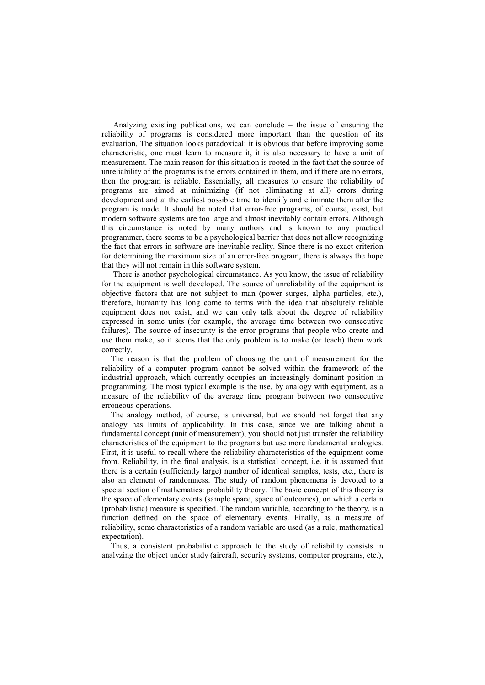Analyzing existing publications, we can conclude – the issue of ensuring the reliability of programs is considered more important than the question of its evaluation. The situation looks paradoxical: it is obvious that before improving some characteristic, one must learn to measure it, it is also necessary to have a unit of measurement. The main reason for this situation is rooted in the fact that the source of unreliability of the programs is the errors contained in them, and if there are no errors, then the program is reliable. Essentially, all measures to ensure the reliability of programs are aimed at minimizing (if not eliminating at all) errors during development and at the earliest possible time to identify and eliminate them after the program is made. It should be noted that error-free programs, of course, exist, but modern software systems are too large and almost inevitably contain errors. Although this circumstance is noted by many authors and is known to any practical programmer, there seems to be a psychological barrier that does not allow recognizing the fact that errors in software are inevitable reality. Since there is no exact criterion for determining the maximum size of an error-free program, there is always the hope that they will not remain in this software system.

There is another psychological circumstance. As you know, the issue of reliability for the equipment is well developed. The source of unreliability of the equipment is objective factors that are not subject to man (power surges, alpha particles, etc.), therefore, humanity has long come to terms with the idea that absolutely reliable equipment does not exist, and we can only talk about the degree of reliability expressed in some units (for example, the average time between two consecutive failures). The source of insecurity is the error programs that people who create and use them make, so it seems that the only problem is to make (or teach) them work correctly.

The reason is that the problem of choosing the unit of measurement for the reliability of a computer program cannot be solved within the framework of the industrial approach, which currently occupies an increasingly dominant position in programming. The most typical example is the use, by analogy with equipment, as a measure of the reliability of the average time program between two consecutive erroneous operations.

The analogy method, of course, is universal, but we should not forget that any analogy has limits of applicability. In this case, since we are talking about a fundamental concept (unit of measurement), you should not just transfer the reliability characteristics of the equipment to the programs but use more fundamental analogies. First, it is useful to recall where the reliability characteristics of the equipment come from. Reliability, in the final analysis, is a statistical concept, i.e. it is assumed that there is a certain (sufficiently large) number of identical samples, tests, etc., there is also an element of randomness. The study of random phenomena is devoted to a special section of mathematics: probability theory. The basic concept of this theory is the space of elementary events (sample space, space of outcomes), on which a certain (probabilistic) measure is specified. The random variable, according to the theory, is a function defined on the space of elementary events. Finally, as a measure of reliability, some characteristics of a random variable are used (as a rule, mathematical expectation).

Thus, a consistent probabilistic approach to the study of reliability consists in analyzing the object under study (aircraft, security systems, computer programs, etc.),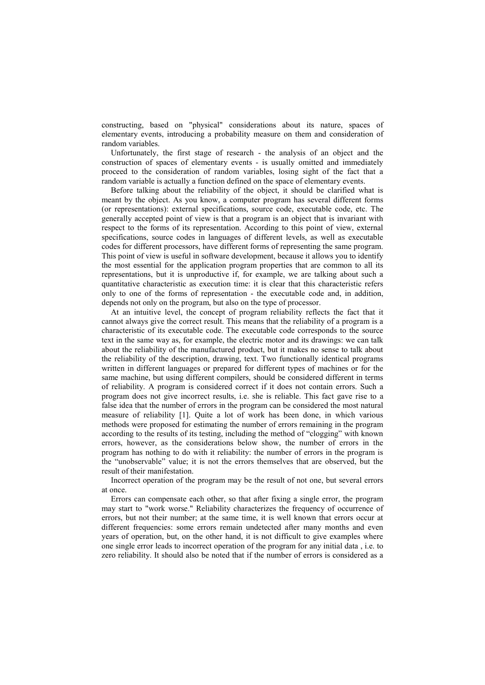constructing, based on "physical" considerations about its nature, spaces of elementary events, introducing a probability measure on them and consideration of random variables.

Unfortunately, the first stage of research - the analysis of an object and the construction of spaces of elementary events - is usually omitted and immediately proceed to the consideration of random variables, losing sight of the fact that a random variable is actually a function defined on the space of elementary events.

Before talking about the reliability of the object, it should be clarified what is meant by the object. As you know, a computer program has several different forms (or representations): external specifications, source code, executable code, etc. The generally accepted point of view is that a program is an object that is invariant with respect to the forms of its representation. According to this point of view, external specifications, source codes in languages of different levels, as well as executable codes for different processors, have different forms of representing the same program. This point of view is useful in software development, because it allows you to identify the most essential for the application program properties that are common to all its representations, but it is unproductive if, for example, we are talking about such a quantitative characteristic as execution time: it is clear that this characteristic refers only to one of the forms of representation - the executable code and, in addition, depends not only on the program, but also on the type of processor.

At an intuitive level, the concept of program reliability reflects the fact that it cannot always give the correct result. This means that the reliability of a program is a characteristic of its executable code. The executable code corresponds to the source text in the same way as, for example, the electric motor and its drawings: we can talk about the reliability of the manufactured product, but it makes no sense to talk about the reliability of the description, drawing, text. Two functionally identical programs written in different languages or prepared for different types of machines or for the same machine, but using different compilers, should be considered different in terms of reliability. A program is considered correct if it does not contain errors. Such a program does not give incorrect results, i.e. she is reliable. This fact gave rise to a false idea that the number of errors in the program can be considered the most natural measure of reliability [1]. Quite a lot of work has been done, in which various methods were proposed for estimating the number of errors remaining in the program according to the results of its testing, including the method of "clogging" with known errors, however, as the considerations below show, the number of errors in the program has nothing to do with it reliability: the number of errors in the program is the "unobservable" value; it is not the errors themselves that are observed, but the result of their manifestation.

Incorrect operation of the program may be the result of not one, but several errors at once.

Errors can compensate each other, so that after fixing a single error, the program may start to "work worse." Reliability characterizes the frequency of occurrence of errors, but not their number; at the same time, it is well known that errors occur at different frequencies: some errors remain undetected after many months and even years of operation, but, on the other hand, it is not difficult to give examples where one single error leads to incorrect operation of the program for any initial data , i.e. to zero reliability. It should also be noted that if the number of errors is considered as a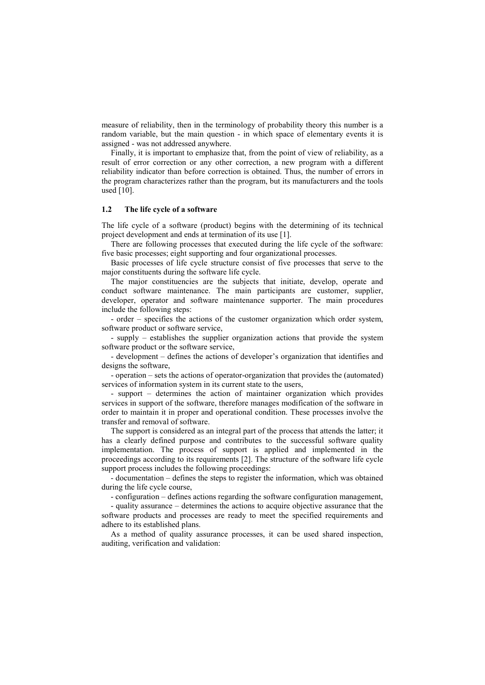measure of reliability, then in the terminology of probability theory this number is a random variable, but the main question - in which space of elementary events it is assigned - was not addressed anywhere.

Finally, it is important to emphasize that, from the point of view of reliability, as a result of error correction or any other correction, a new program with a different reliability indicator than before correction is obtained. Thus, the number of errors in the program characterizes rather than the program, but its manufacturers and the tools used [10].

#### **1.2 The life cycle of a software**

The life cycle of a software (product) begins with the determining of its technical project development and ends at termination of its use [1].

There are following processes that executed during the life cycle of the software: five basic processes; eight supporting and four organizational processes.

Basic processes of life cycle structure consist of five processes that serve to the major constituents during the software life cycle.

The major constituencies are the subjects that initiate, develop, operate and conduct software maintenance. The main participants are customer, supplier, developer, operator and software maintenance supporter. The main procedures include the following steps:

- order – specifies the actions of the customer organization which order system, software product or software service,

- supply – establishes the supplier organization actions that provide the system software product or the software service,

- development – defines the actions of developer's organization that identifies and designs the software,

- operation – sets the actions of operator-organization that provides the (automated) services of information system in its current state to the users,

- support – determines the action of maintainer organization which provides services in support of the software, therefore manages modification of the software in order to maintain it in proper and operational condition. These processes involve the transfer and removal of software.

The support is considered as an integral part of the process that attends the latter; it has a clearly defined purpose and contributes to the successful software quality implementation. The process of support is applied and implemented in the proceedings according to its requirements [2]. The structure of the software life cycle support process includes the following proceedings:

- documentation – defines the steps to register the information, which was obtained during the life cycle course,

- configuration – defines actions regarding the software configuration management,

- quality assurance – determines the actions to acquire objective assurance that the software products and processes are ready to meet the specified requirements and adhere to its established plans.

As a method of quality assurance processes, it can be used shared inspection, auditing, verification and validation: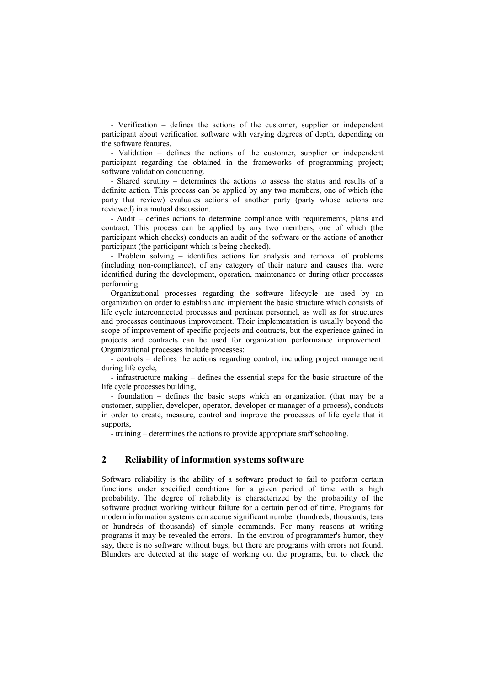- Verification – defines the actions of the customer, supplier or independent participant about verification software with varying degrees of depth, depending on the software features.

- Validation – defines the actions of the customer, supplier or independent participant regarding the obtained in the frameworks of programming project; software validation conducting.

- Shared scrutiny – determines the actions to assess the status and results of a definite action. This process can be applied by any two members, one of which (the party that review) evaluates actions of another party (party whose actions are reviewed) in a mutual discussion.

- Audit – defines actions to determine compliance with requirements, plans and contract. This process can be applied by any two members, one of which (the participant which checks) conducts an audit of the software or the actions of another participant (the participant which is being checked).

- Problem solving – identifies actions for analysis and removal of problems (including non-compliance), of any category of their nature and causes that were identified during the development, operation, maintenance or during other processes performing.

Organizational processes regarding the software lifecycle are used by an organization on order to establish and implement the basic structure which consists of life cycle interconnected processes and pertinent personnel, as well as for structures and processes continuous improvement. Their implementation is usually beyond the scope of improvement of specific projects and contracts, but the experience gained in projects and contracts can be used for organization performance improvement. Organizational processes include processes:

- controls – defines the actions regarding control, including project management during life cycle,

- infrastructure making – defines the essential steps for the basic structure of the life cycle processes building,

- foundation – defines the basic steps which an organization (that may be a customer, supplier, developer, operator, developer or manager of a process), conducts in order to create, measure, control and improve the processes of life cycle that it supports,

- training – determines the actions to provide appropriate staff schooling.

## **2 Reliability of information systems software**

Software reliability is the ability of a software product to fail to perform certain functions under specified conditions for a given period of time with a high probability. The degree of reliability is characterized by the probability of the software product working without failure for a certain period of time. Programs for modern information systems can accrue significant number (hundreds, thousands, tens or hundreds of thousands) of simple commands. For many reasons at writing programs it may be revealed the errors. In the environ of programmer's humor, they say, there is no software without bugs, but there are programs with errors not found. Blunders are detected at the stage of working out the programs, but to check the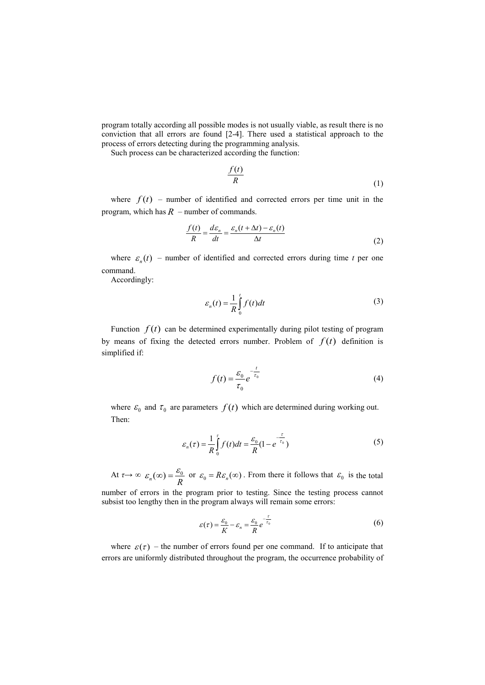program totally according all possible modes is not usually viable, as result there is no conviction that all errors are found [2-4]. There used a statistical approach to the process of errors detecting during the programming analysis.

Such process can be characterized according the function:

$$
\frac{f(t)}{R}
$$
 (1)

where  $f(t)$  – number of identified and corrected errors per time unit in the program, which has  $R$  – number of commands.

$$
\frac{f(t)}{R} = \frac{d\varepsilon_n}{dt} = \frac{\varepsilon_n(t + \Delta t) - \varepsilon_n(t)}{\Delta t}
$$
\n(2)

where  $\varepsilon_n(t)$  – number of identified and corrected errors during time *t* per one command.

Accordingly:

$$
\varepsilon_n(t) = \frac{1}{R} \int_0^t f(t) dt
$$
\n(3)

Function  $f(t)$  can be determined experimentally during pilot testing of program by means of fixing the detected errors number. Problem of  $f(t)$  definition is simplified if:

$$
f(t) = \frac{\varepsilon_0}{\tau_0} e^{-\frac{t}{\tau_0}}
$$
\n<sup>(4)</sup>

where  $\varepsilon_0$  and  $\tau_0$  are parameters  $f(t)$  which are determined during working out. Then:

$$
\varepsilon_n(\tau) = \frac{1}{R} \int_0^{\tau} f(t)dt = \frac{\varepsilon_0}{R} (1 - e^{-\frac{\tau}{\tau_0}})
$$
\n(5)

At  $\tau \to \infty$   $\varepsilon_n(\infty) = \frac{\sigma_0}{R}$  or  $\varepsilon_0 = R\varepsilon_n(\infty)$ . From there it follows that  $\varepsilon_0$  is the total  $\varepsilon_n(\infty) = \frac{\varepsilon_0}{R}$  or  $\varepsilon_0 = R\varepsilon_n(\infty)$ . From there it follows that  $\varepsilon_0$ 

number of errors in the program prior to testing. Since the testing process cannot subsist too lengthy then in the program always will remain some errors:

$$
\varepsilon(\tau) = \frac{\varepsilon_0}{K} - \varepsilon_n = \frac{\varepsilon_0}{R} e^{-\frac{\tau}{\tau_0}}
$$
(6)

where  $\varepsilon(\tau)$  – the number of errors found per one command. If to anticipate that errors are uniformly distributed throughout the program, the occurrence probability of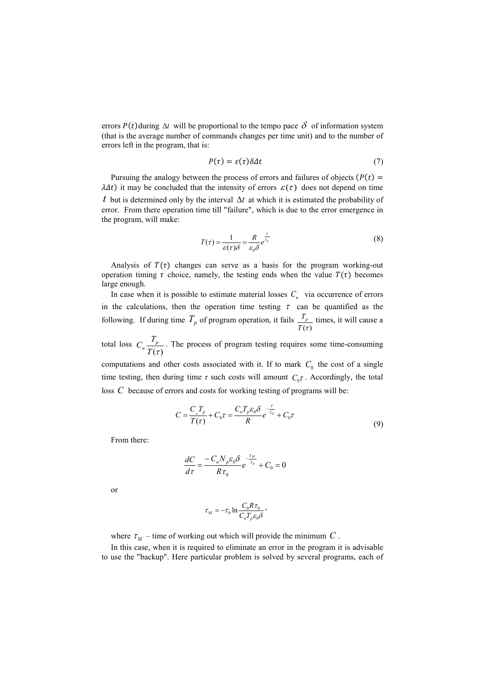errors  $P(t)$ during  $\Delta t$  will be proportional to the tempo pace  $\delta$  of information system (that is the average number of commands changes per time unit) and to the number of errors left in the program, that is:

$$
P(\tau) = \varepsilon(\tau)\delta\Delta t \tag{7}
$$

Pursuing the analogy between the process of errors and failures of objects ( $P(t)$ )  $\lambda \Delta t$ ) it may be concluded that the intensity of errors  $\varepsilon(\tau)$  does not depend on time *t* but is determined only by the interval  $\Delta t$  at which it is estimated the probability of error. From there operation time till "failure", which is due to the error emergence in the program, will make:

$$
T(\tau) = \frac{1}{\varepsilon(\tau)\delta} = \frac{R}{\varepsilon_0 \delta} e^{\frac{\tau}{\tau_0}}
$$
(8)

Analysis of  $T(\tau)$  changes can serve as a basis for the program working-out operation timing  $\tau$  choice, namely, the testing ends when the value  $T(\tau)$  becomes large enough.

In case when it is possible to estimate material losses  $C<sub>n</sub>$  via occurrence of errors in the calculations, then the operation time testing  $\tau$  can be quantified as the following. If during time  $T_p$  of program operation, it fails  $\frac{T_p}{T(\tau)}$  times, it will cause a

total loss  $C_n \stackrel{\text{p}}{=} 1$ . The process of program testing requires some time-consuming computations and other costs associated with it. If to mark  $C_0$  the cost of a single time testing, then during time  $\tau$  such costs will amount  $C_0\tau$ . Accordingly, the total loss C because of errors and costs for working testing of programs will be:  $T(\tau)$  $C_n \frac{T_p}{T}$ 

$$
C = \frac{C_{n}T_{p}}{T(\tau)} + C_{0}\tau = \frac{C_{n}T_{p}\varepsilon_{0}\delta}{R}e^{-\frac{\tau}{\tau_{0}}} + C_{0}\tau
$$
\n(9)

From there:

$$
\frac{dC}{d\tau} = \frac{-C_n N_p \varepsilon_0 \delta}{R \tau_0} e^{\frac{\tau_M}{\tau_0}} + C_0 = 0
$$

or

$$
\tau_M = -\tau_0 \ln \frac{C_0 R \tau_0}{C_n T_p \varepsilon_0 \delta},
$$

where  $\tau_M$  – time of working out which will provide the minimum C.

In this case, when it is required to eliminate an error in the program it is advisable to use the "backup". Here particular problem is solved by several programs, each of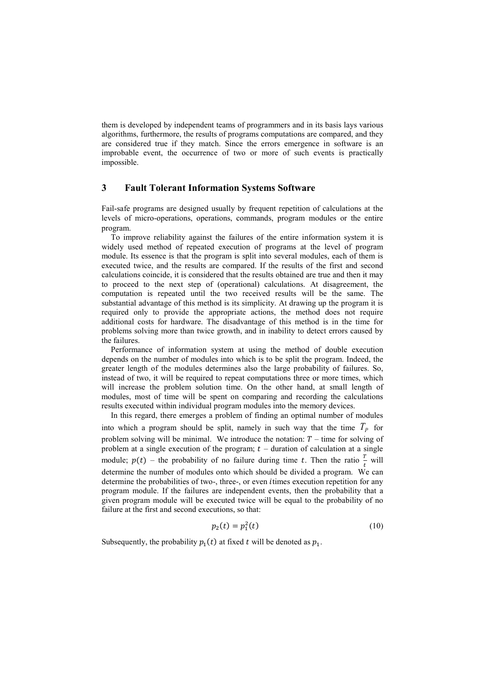them is developed by independent teams of programmers and in its basis lays various algorithms, furthermore, the results of programs computations are compared, and they are considered true if they match. Since the errors emergence in software is an improbable event, the occurrence of two or more of such events is practically impossible.

## **3 Fault Tolerant Information Systems Software**

Fail-safe programs are designed usually by frequent repetition of calculations at the levels of micro-operations, operations, commands, program modules or the entire program.

To improve reliability against the failures of the entire information system it is widely used method of repeated execution of programs at the level of program module. Its essence is that the program is split into several modules, each of them is executed twice, and the results are compared. If the results of the first and second calculations coincide, it is considered that the results obtained are true and then it may to proceed to the next step of (operational) calculations. At disagreement, the computation is repeated until the two received results will be the same. The substantial advantage of this method is its simplicity. At drawing up the program it is required only to provide the appropriate actions, the method does not require additional costs for hardware. The disadvantage of this method is in the time for problems solving more than twice growth, and in inability to detect errors caused by the failures.

Performance of information system at using the method of double execution depends on the number of modules into which is to be split the program. Indeed, the greater length of the modules determines also the large probability of failures. So, instead of two, it will be required to repeat computations three or more times, which will increase the problem solution time. On the other hand, at small length of modules, most of time will be spent on comparing and recording the calculations results executed within individual program modules into the memory devices.

In this regard, there emerges a problem of finding an optimal number of modules into which a program should be split, namely in such way that the time  $T_p$  for problem solving will be minimal. We introduce the notation:  $T -$  time for solving of problem at a single execution of the program;  $t$  – duration of calculation at a single module;  $p(t)$  – the probability of no failure during time t. Then the ratio  $\frac{r}{t}$  will determine the number of modules onto which should be divided a program. We can determine the probabilities of two-, three-, or even times execution repetition for any program module. If the failures are independent events, then the probability that a given program module will be executed twice will be equal to the probability of no failure at the first and second executions, so that:

$$
p_2(t) = p_1^2(t) \tag{10}
$$

Subsequently, the probability  $p_1(t)$  at fixed t will be denoted as  $p_1$ .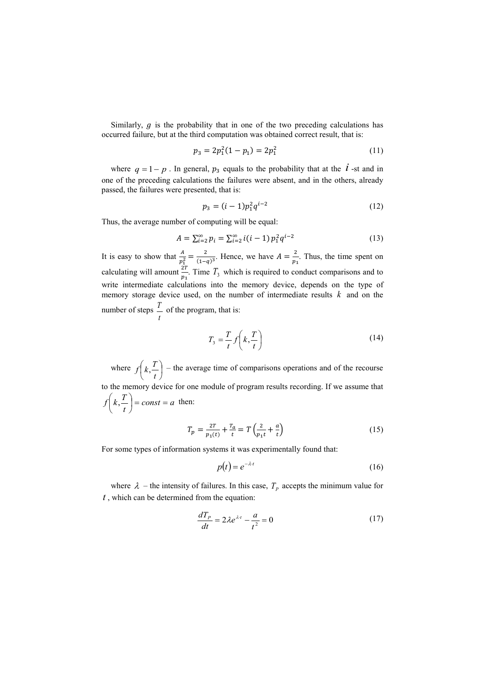Similarly,  $g$  is the probability that in one of the two preceding calculations has occurred failure, but at the third computation was obtained correct result, that is:

$$
p_3 = 2p_1^2(1 - p_1) = 2p_1^2 \tag{11}
$$

where  $q = 1 - p$ . In general,  $p_3$  equals to the probability that at the  $\hat{i}$  -st and in one of the preceding calculations the failures were absent, and in the others, already passed, the failures were presented, that is:

$$
p_3 = (i-1)p_1^2 q^{i-2} \tag{12}
$$

Thus, the average number of computing will be equal:

$$
A = \sum_{i=2}^{\infty} p_i = \sum_{i=2}^{\infty} i(i-1) p_1^2 q^{i-2}
$$
 (13)

It is easy to show that  $\frac{A}{p_1^2} = \frac{2}{(1-q)^3}$ . Hence, we have  $A = \frac{2}{p_1}$ . Thus, the time spent on calculating will amount  $\frac{2T}{p_1}$ . Time  $T_3$  which is required to conduct comparisons and to write intermediate calculations into the memory device, depends on the type of memory storage device used, on the number of intermediate results  $k$  and on the number of steps  $\frac{1}{x}$  of the program, that is: *t T*

$$
T_3 = \frac{T}{t} f\left(k, \frac{T}{t}\right) \tag{14}
$$

where  $f(k, \frac{1}{k})$  – the average time of comparisons operations and of the recourse to the memory device for one module of program results recording. If we assume that  $const = a$  then:  $\bigg)$  $\left(k,\frac{T}{\cdot}\right)$  $\overline{\mathcal{L}}$ ſ  $f\left(k,\frac{T}{t}\right)$  $f\left(k, \frac{T}{t}\right) = const =$  $\overline{\mathcal{L}}$  $\int k,$ 

$$
T_p = \frac{2T}{p_1(t)} + \frac{T_a}{t} = T\left(\frac{2}{p_1t} + \frac{a}{t}\right)
$$
 (15)

For some types of information systems it was experimentally found that:

$$
p(t) = e^{-\lambda \cdot t} \tag{16}
$$

where  $\lambda$  – the intensity of failures. In this case,  $T_p$  accepts the minimum value for , which can be determined from the equation: *t*

$$
\frac{dT_p}{dt} = 2\lambda e^{\lambda t} - \frac{a}{t^2} = 0\tag{17}
$$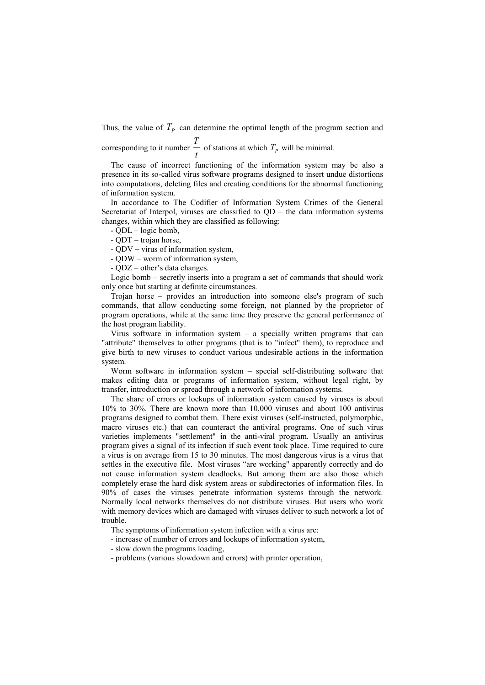Thus, the value of  $T_p$  can determine the optimal length of the program section and *T*

corresponding to it number  $-$  of stations at which  $T_p$  will be minimal. *t*  $T_p$ 

The cause of incorrect functioning of the information system may be also a presence in its so-called virus software programs designed to insert undue distortions into computations, deleting files and creating conditions for the abnormal functioning of information system.

In accordance to The Codifier of Information System Crimes of the General Secretariat of Interpol, viruses are classified to  $QD -$  the data information systems changes, within which they are classified as following:

- QDL – logic bomb,

- QDT – trojan horse,

- QDV – virus of information system,

- QDW – worm of information system,

- QDZ – other's data changes.

Logic bomb – secretly inserts into a program a set of commands that should work only once but starting at definite circumstances.

Trojan horse – provides an introduction into someone else's program of such commands, that allow conducting some foreign, not planned by the proprietor of program operations, while at the same time they preserve the general performance of the host program liability.

Virus software in information system – a specially written programs that can "attribute" themselves to other programs (that is to "infect" them), to reproduce and give birth to new viruses to conduct various undesirable actions in the information system.

Worm software in information system – special self-distributing software that makes editing data or programs of information system, without legal right, by transfer, introduction or spread through a network of information systems.

The share of errors or lockups of information system caused by viruses is about 10% to 30%. There are known more than 10,000 viruses and about 100 antivirus programs designed to combat them. There exist viruses (self-instructed, polymorphic, macro viruses etc.) that can counteract the antiviral programs. One of such virus varieties implements "settlement" in the anti-viral program. Usually an antivirus program gives a signal of its infection if such event took place. Time required to cure a virus is on average from 15 to 30 minutes. The most dangerous virus is a virus that settles in the executive file. Most viruses "are working" apparently correctly and do not cause information system deadlocks. But among them are also those which completely erase the hard disk system areas or subdirectories of information files. In 90% of cases the viruses penetrate information systems through the network. Normally local networks themselves do not distribute viruses. But users who work with memory devices which are damaged with viruses deliver to such network a lot of trouble.

The symptoms of information system infection with a virus are:

- increase of number of errors and lockups of information system,

- slow down the programs loading,

- problems (various slowdown and errors) with printer operation,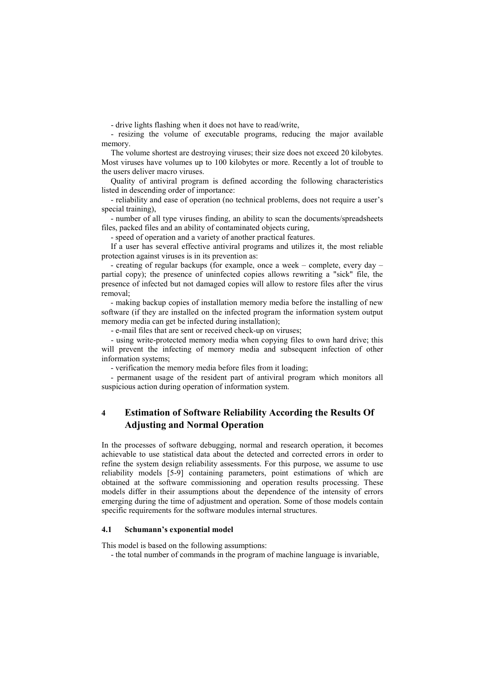- drive lights flashing when it does not have to read/write,

- resizing the volume of executable programs, reducing the major available memory.

The volume shortest are destroying viruses; their size does not exceed 20 kilobytes. Most viruses have volumes up to 100 kilobytes or more. Recently a lot of trouble to the users deliver macro viruses.

Quality of antiviral program is defined according the following characteristics listed in descending order of importance:

- reliability and ease of operation (no technical problems, does not require a user's special training),

- number of all type viruses finding, an ability to scan the documents/spreadsheets files, packed files and an ability of contaminated objects curing,

- speed of operation and a variety of another practical features.

If a user has several effective antiviral programs and utilizes it, the most reliable protection against viruses is in its prevention as:

- creating of regular backups (for example, once a week – complete, every day – partial copy); the presence of uninfected copies allows rewriting a "sick" file, the presence of infected but not damaged copies will allow to restore files after the virus removal;

- making backup copies of installation memory media before the installing of new software (if they are installed on the infected program the information system output memory media can get be infected during installation);

- e-mail files that are sent or received check-up on viruses;

- using write-protected memory media when copying files to own hard drive; this will prevent the infecting of memory media and subsequent infection of other information systems;

- verification the memory media before files from it loading;

- permanent usage of the resident part of antiviral program which monitors all suspicious action during operation of information system.

# **4 Estimation of Software Reliability According the Results Of Adjusting and Normal Operation**

In the processes of software debugging, normal and research operation, it becomes achievable to use statistical data about the detected and corrected errors in order to refine the system design reliability assessments. For this purpose, we assume to use reliability models [5-9] containing parameters, point estimations of which are obtained at the software commissioning and operation results processing. These models differ in their assumptions about the dependence of the intensity of errors emerging during the time of adjustment and operation. Some of those models contain specific requirements for the software modules internal structures.

#### **4.1 Schumann's exponential model**

This model is based on the following assumptions:

- the total number of commands in the program of machine language is invariable,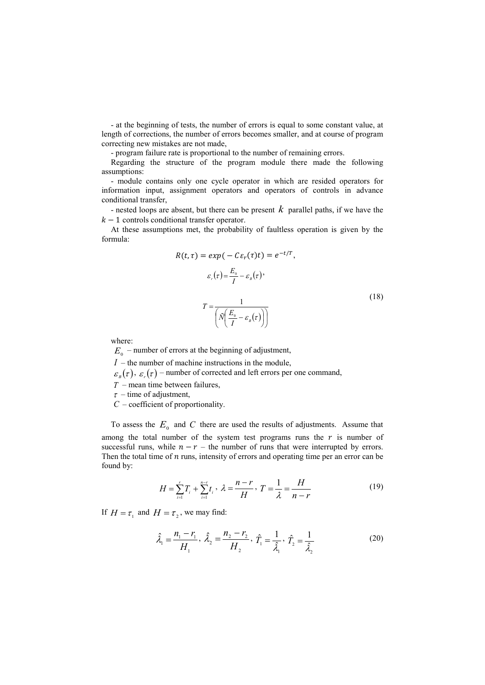- at the beginning of tests, the number of errors is equal to some constant value, at length of corrections, the number of errors becomes smaller, and at course of program correcting new mistakes are not made,

- program failure rate is proportional to the number of remaining errors.

Regarding the structure of the program module there made the following assumptions:

- module contains only one cycle operator in which are resided operators for information input, assignment operators and operators of controls in advance conditional transfer,

- nested loops are absent, but there can be present  $k$  parallel paths, if we have the  $k-1$  controls conditional transfer operator.

At these assumptions met, the probability of faultless operation is given by the formula:

$$
R(t,\tau) = exp(-C\varepsilon_r(\tau)t) = e^{-t/T},
$$
  
\n
$$
\varepsilon_r(\tau) = \frac{E_0}{I} - \varepsilon_s(\tau),
$$
  
\n
$$
T = \frac{1}{\left(\tilde{N}\left(\frac{E_0}{I} - \varepsilon_s(\tau)\right)\right)}
$$
\n(18)

where:

 $E_{\rm o}$  – number of errors at the beginning of adjustment,

– the number of machine instructions in the module, *I*

 $\varepsilon_{B}(\tau)$ ,  $\varepsilon_{r}(\tau)$  – number of corrected and left errors per one command,

– mean time between failures, *T*

 $\tau$  – time of adjustment,

– coefficient of proportionality. *C*

To assess the  $E_0$  and C there are used the results of adjustments. Assume that among the total number of the system test programs runs the  $r$  is number of successful runs, while  $n - r$  – the number of runs that were interrupted by errors. Then the total time of  $n$  runs, intensity of errors and operating time per an error can be found by:

$$
H = \sum_{i=1}^{r} T_i + \sum_{i=1}^{n-r} t_i, \ \lambda = \frac{n-r}{H}, \ T = \frac{1}{\lambda} = \frac{H}{n-r}
$$
 (19)

If  $H = \tau_1$  and  $H = \tau_2$ , we may find:

$$
\hat{\lambda}_1 = \frac{n_1 - r_1}{H_1}, \ \hat{\lambda}_2 = \frac{n_2 - r_2}{H_2}, \ \hat{T}_1 = \frac{1}{\hat{\lambda}_1}, \ \hat{T}_2 = \frac{1}{\hat{\lambda}_2}
$$
(20)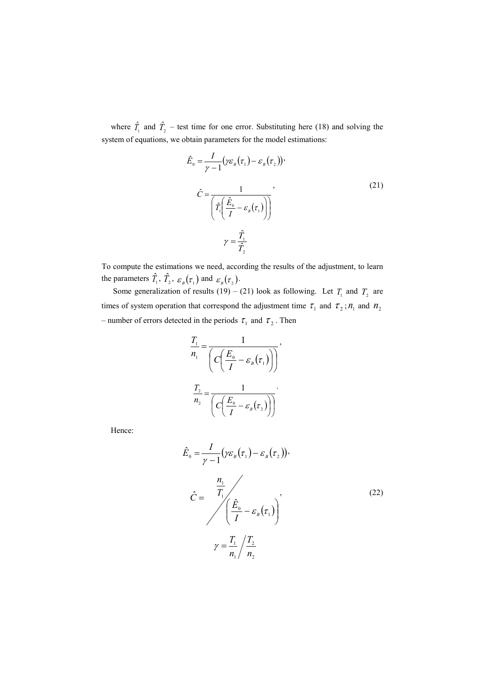where  $\hat{T}_1$  and  $\hat{T}_2$  – test time for one error. Substituting here (18) and solving the system of equations, we obtain parameters for the model estimations:

$$
\hat{E}_0 = \frac{I}{\gamma - 1} (\gamma \varepsilon_B(\tau_1) - \varepsilon_B(\tau_2))
$$
\n
$$
\hat{C} = \frac{1}{\left( \hat{T}_1 \left( \frac{\hat{E}_0}{I} - \varepsilon_B(\tau_1) \right) \right)}
$$
\n
$$
\gamma = \frac{\hat{T}_1}{\hat{T}_2}
$$
\n(21)

To compute the estimations we need, according the results of the adjustment, to learn the parameters  $T_1$ ,  $T_2$ ,  $\varepsilon_p(\tau_1)$  and  $\varepsilon_p(\tau_2)$ .  $\hat{T}_1$ ,  $\hat{T}_2$ ,  $\varepsilon_B(\tau_1)$  and  $\varepsilon_B(\tau_2)$ 

Some generalization of results  $(19) - (21)$  look as following. Let  $T<sub>i</sub>$  and  $T<sub>j</sub>$  are times of system operation that correspond the adjustment time  $\tau_1$  and  $\tau_2$ ;  $n_1$  and  $n_2$ – number of errors detected in the periods  $\tau_1$  and  $\tau_2$ . Then  $T_1$  and  $T_2$ 

$$
\frac{T_1}{n_1} = \frac{1}{\left(C\left(\frac{E_0}{I} - \varepsilon_{B}(\tau_1)\right)\right)},
$$
\n
$$
\frac{T_2}{n_2} = \frac{1}{\left(C\left(\frac{E_0}{I} - \varepsilon_{B}(\tau_2)\right)\right)}.
$$

Hence:

$$
\hat{E}_0 = \frac{I}{\gamma - 1} \left( \gamma \varepsilon_B (\tau_1) - \varepsilon_B (\tau_2) \right),
$$
\n
$$
\hat{C} = \frac{\frac{n_1}{T_1}}{\left( \frac{\hat{E}_0}{I} - \varepsilon_B (\tau_1) \right)},
$$
\n
$$
\gamma = \frac{T_1}{n_1} \left/ \frac{T_2}{n_2} \right)
$$
\n(22)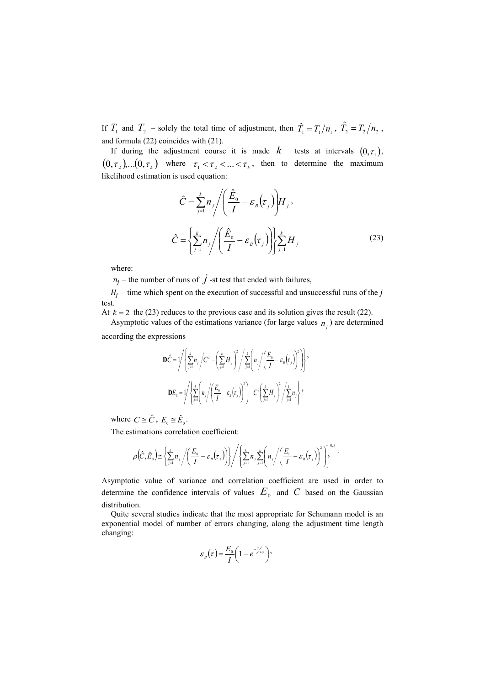If  $T_1$  and  $T_2$  – solely the total time of adjustment, then  $\hat{T}_1 = T_1/n_1$ ,  $\hat{T}_2 = T_2/n_2$ , and formula (22) coincides with (21).

If during the adjustment course it is made  $k$  tests at intervals  $(0, \tau_1)$ ,  $(0, \tau_2), \ldots, (0, \tau_k)$  where  $\tau_1 < \tau_2 < \ldots < \tau_k$ , then to determine the maximum likelihood estimation is used equation:

$$
\hat{C} = \sum_{j=1}^{k} n_j \Bigg/ \Bigg( \frac{\hat{E}_0}{I} - \varepsilon_B(\tau_j) \Bigg) H_j,
$$
\n
$$
\hat{C} = \Bigg\{ \sum_{j=1}^{k} n_j \Bigg/ \Bigg( \frac{\hat{E}_0}{I} - \varepsilon_B(\tau_j) \Bigg) \Bigg\} \sum_{j=1}^{k} H_j
$$
\n(23)

where:

 $n_j$  – the number of runs of  $\dot{J}$  -st test that ended with failures,

 $H_j$  – time which spent on the execution of successful and unsuccessful runs of the j test.

At  $k = 2$  the (23) reduces to the previous case and its solution gives the result (22).

Asymptotic values of the estimations variance (for large values  $n_j$ ) are determined according the expressions

$$
\mathbf{D}\hat{C} = \sqrt{\left\{\sum_{j=1}^{k} n_j \left\langle C^2 - \left(\sum_{j=1}^{k} H_j \right)^2 \middle/ \sum_{j=1}^{k} \left( n_j \middle/ \left( \frac{E_0}{I} - \varepsilon_s \left( \tau_j \right) \right)^2 \right) \right\}},
$$

$$
\mathbf{D}E_0 = \sqrt{\left\{\sum_{j=1}^{k} \left( n_j \middle/ \left( \frac{E_0}{I} - \varepsilon_s \left( \tau_j \right) \right)^2 \right\} - C^2 \left( \sum_{j=1}^{k} H_j \right)^2 \middle/ \sum_{j=1}^{k} n_j \right\}},
$$

where  $C \cong \hat{C}$ ,  $E_0 \cong \hat{E}_0$ .

The estimations correlation coefficient:

$$
\rho\big(\hat{C},\hat{E}_0\big) \cong \left\{\sum_{j=1}^k n_j \left/ \left(\frac{E_0}{I} - \varepsilon_s\big(\tau_j\big)\right)\right\}\right/ \left\{\sum_{j=1}^k n_j \sum_{j=1}^k \left(n_j \left/ \left(\frac{E_0}{I} - \varepsilon_s\big(\tau_j\big)\right)^2\right)\right\}^{0.5} \right\}.
$$

Asymptotic value of variance and correlation coefficient are used in order to determine the confidence intervals of values  $E_0$  and  $C$  based on the Gaussian distribution.

Quite several studies indicate that the most appropriate for Schumann model is an exponential model of number of errors changing, along the adjustment time length changing:

$$
\varepsilon_{B}(\tau) = \frac{E_{0}}{I} \left(1 - e^{-\tau/\tau_{0}}\right),
$$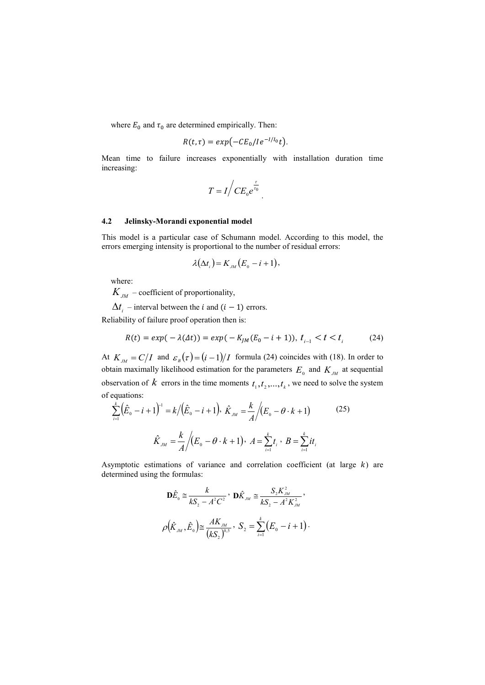where  $E_0$  and  $\tau_0$  are determined empirically. Then:

$$
R(t,\tau)=exp(-CE_0/Ie^{-I/I_0}t).
$$

Mean time to failure increases exponentially with installation duration time increasing:

$$
T = I / CE_0 e^{\frac{\tau}{\tau_0}}.
$$

#### **4.2 Jelinsky-Morandi exponential model**

This model is a particular case of Schumann model. According to this model, the errors emerging intensity is proportional to the number of residual errors:

$$
\lambda(\Delta t_i)=K_{\scriptscriptstyle JM}(E_{\scriptscriptstyle 0}-i+1),
$$

where:

 $K_{_{\scriptstyle{JM}}}$  – coefficient of proportionality,

 $\Delta t_i$  – interval between the *i* and  $(i - 1)$  errors.

Reliability of failure proof operation then is:

$$
R(t) = exp(-\lambda(\Delta t)) = exp(-K_{JM}(E_0 - i + 1)), t_{i-1} < t < t_i
$$
 (24)

At  $K_{\scriptscriptstyle JM} = C/I$  and  $\varepsilon_{\scriptscriptstyle B}(\tau) = (i-1)/I$  formula (24) coincides with (18). In order to obtain maximally likelihood estimation for the parameters  $E_0$  and  $K_{JM}$  at sequential observation of  $k$  errors in the time moments  $t_1, t_2, ..., t_k$ , we need to solve the system of equations:

$$
\sum_{i=1}^{k} (\hat{E}_{0} - i + 1)^{-1} = k / (\hat{E}_{0} - i + 1), \ \hat{K}_{JM} = \frac{k}{A} / (E_{0} - \theta \cdot k + 1)
$$
\n
$$
\hat{K}_{JM} = \frac{k}{A} / (E_{0} - \theta \cdot k + 1), \ A = \sum_{i=1}^{k} t_{i}, \ B = \sum_{i=1}^{k} it_{i}
$$
\n(25)

Asymptotic estimations of variance and correlation coefficient (at large  $k$ ) are determined using the formulas:

$$
\mathbf{D}\hat{E}_{0} \cong \frac{k}{kS_{2} - A^{2}C^{2}}, \quad \mathbf{D}\hat{K}_{JM} \cong \frac{S_{2}K_{JM}^{2}}{kS_{2} - A^{2}K_{JM}^{2}},
$$
\n
$$
\rho(\hat{K}_{JM}, \hat{E}_{0}) \cong \frac{AK_{JM}}{(kS_{2})^{0.5}}, \quad S_{2} = \sum_{i=1}^{k} (E_{0} - i + 1).
$$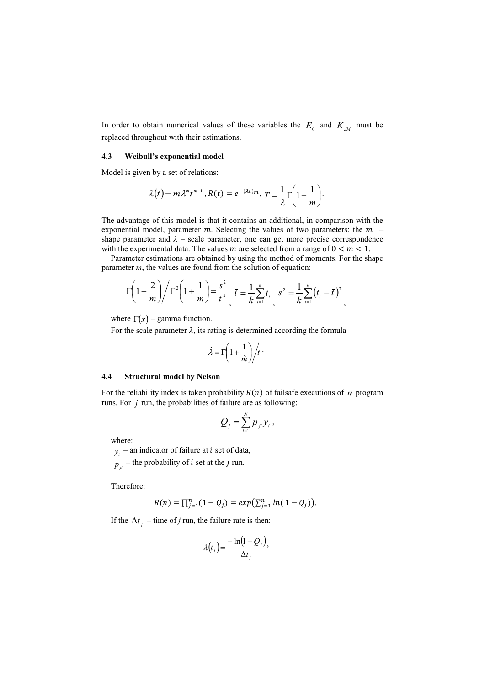In order to obtain numerical values of these variables the  $E_0$  and  $K_{JM}$  must be replaced throughout with their estimations.

#### **4.3 Weibull's exponential model**

Model is given by a set of relations:

$$
\lambda(t) = m \lambda^m t^{m-1}, R(t) = e^{-(\lambda t)m}, T = \frac{1}{\lambda} \Gamma\left(1 + \frac{1}{m}\right).
$$

The advantage of this model is that it contains an additional, in comparison with the exponential model, parameter  $m$ . Selecting the values of two parameters: the  $m$ shape parameter and  $\lambda$  – scale parameter, one can get more precise correspondence with the experimental data. The values m are selected from a range of  $0 < m < 1$ .

Parameter estimations are obtained by using the method of moments. For the shape parameter *m*, the values are found from the solution of equation:

$$
\Gamma\left(1+\frac{2}{m}\right)\middle/\Gamma^2\left(1+\frac{1}{m}\right) = \frac{s^2}{\bar{t}^2} \quad \bar{t} = \frac{1}{k}\sum_{i=1}^k t_i \quad s^2 = \frac{1}{k}\sum_{i=1}^k (t_i - \bar{t})^2 \quad ,
$$

where  $\Gamma(x)$  – gamma function.

For the scale parameter  $\lambda$ , its rating is determined according the formula

$$
\hat{\lambda} = \Gamma \left( 1 + \frac{1}{\hat{m}} \right) / \bar{t} \cdot
$$

#### **4.4 Structural model by Nelson**

For the reliability index is taken probability  $R(n)$  of failsafe executions of  $n$  program runs. For  $j$  run, the probabilities of failure are as following:

$$
Q_{j}=\sum_{i=1}^{N}p_{ji}y_{i},
$$

where:

 $y_i$  – an indicator of failure at *i* set of data,

 $p_{ij}$  – the probability of *i* set at the *j* run.

Therefore:

$$
R(n) = \prod_{j=1}^{n} (1 - Q_j) = exp(\sum_{j=1}^{n} ln(1 - Q_j)).
$$

If the  $\Delta t_j$  – time of *j* run, the failure rate is then:

$$
\lambda(t_{j}) = \frac{-\ln(1-Q_{j})}{\Delta t_{j}},
$$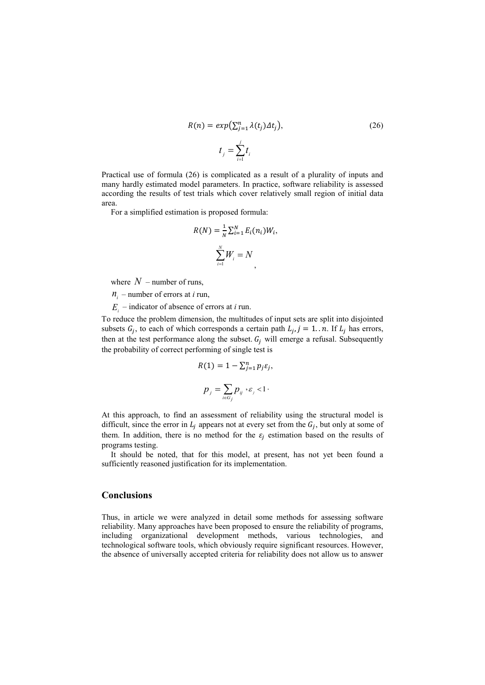$$
R(n) = exp(\sum_{j=1}^{n} \lambda(t_j) \Delta t_j),
$$
\n
$$
t_j = \sum_{i=1}^{j} t_i
$$
\n(26)

Practical use of formula (26) is complicated as a result of a plurality of inputs and many hardly estimated model parameters. In practice, software reliability is assessed according the results of test trials which cover relatively small region of initial data area.

For a simplified estimation is proposed formula:

$$
R(N) = \frac{1}{N} \sum_{i=1}^{N} E_i(n_i) W_i,
$$
  

$$
\sum_{i=1}^{N} W_i = N,
$$

where  $N$  – number of runs,

 $n_i$  – number of errors at *i* run,

– indicator of absence of errors at *i* run. *Ei*

To reduce the problem dimension, the multitudes of input sets are split into disjointed subsets  $G_i$ , to each of which corresponds a certain path  $L_i$ ,  $j = 1..n$ . If  $L_i$  has errors, then at the test performance along the subset.  $G_i$  will emerge a refusal. Subsequently the probability of correct performing of single test is

$$
R(1) = 1 - \sum_{j=1}^{n} p_j \varepsilon_j,
$$
  

$$
p_j = \sum_{i \in G_j} p_{ij} \cdot \varepsilon_j < 1.
$$

At this approach, to find an assessment of reliability using the structural model is difficult, since the error in  $L_i$  appears not at every set from the  $G_i$ , but only at some of them. In addition, there is no method for the  $\varepsilon_i$  estimation based on the results of programs testing.

It should be noted, that for this model, at present, has not yet been found a sufficiently reasoned justification for its implementation.

## **Conclusions**

Thus, in article we were analyzed in detail some methods for assessing software reliability. Many approaches have been proposed to ensure the reliability of programs, including organizational development methods, various technologies, and technological software tools, which obviously require significant resources. However, the absence of universally accepted criteria for reliability does not allow us to answer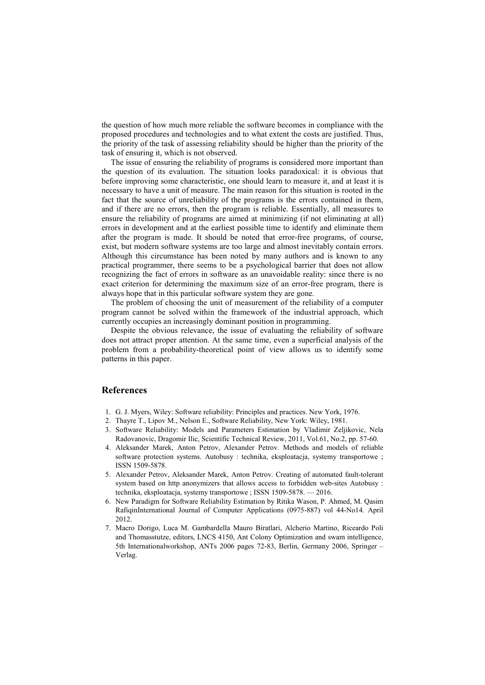the question of how much more reliable the software becomes in compliance with the proposed procedures and technologies and to what extent the costs are justified. Thus, the priority of the task of assessing reliability should be higher than the priority of the task of ensuring it, which is not observed.

The issue of ensuring the reliability of programs is considered more important than the question of its evaluation. The situation looks paradoxical: it is obvious that before improving some characteristic, one should learn to measure it, and at least it is necessary to have a unit of measure. The main reason for this situation is rooted in the fact that the source of unreliability of the programs is the errors contained in them, and if there are no errors, then the program is reliable. Essentially, all measures to ensure the reliability of programs are aimed at minimizing (if not eliminating at all) errors in development and at the earliest possible time to identify and eliminate them after the program is made. It should be noted that error-free programs, of course, exist, but modern software systems are too large and almost inevitably contain errors. Although this circumstance has been noted by many authors and is known to any practical programmer, there seems to be a psychological barrier that does not allow recognizing the fact of errors in software as an unavoidable reality: since there is no exact criterion for determining the maximum size of an error-free program, there is always hope that in this particular software system they are gone.

The problem of choosing the unit of measurement of the reliability of a computer program cannot be solved within the framework of the industrial approach, which currently occupies an increasingly dominant position in programming.

Despite the obvious relevance, the issue of evaluating the reliability of software does not attract proper attention. At the same time, even a superficial analysis of the problem from a probability-theoretical point of view allows us to identify some patterns in this paper.

### **References**

- 1. G. J. Myers, Wiley: Software reliability: Principles and practices. New York, 1976.
- 2. Thayre T., Lipov M., Nelson E., Software Reliability, New York: Wiley, 1981.
- 3. Software Reliability: Models and Parameters Estimation by Vladimir Zeljikovic, Nela Radovanovic, Dragomir Ilic, Scientific Technical Review, 2011, Vol.61, No.2, pp. 57-60.
- 4. Aleksander Marek, Anton Petrov, Alexander Petrov. Methods and models of reliable software protection systems. Autobusy : technika, eksploatacja, systemy transportowe ; ISSN 1509-5878.
- 5. Alexander Petrov, Aleksander Marek, Anton Petrov. Creating of automated fault-tolerant system based on http anonymizers that allows access to forbidden web-sites Autobusy : technika, eksploatacja, systemy transportowe ; ISSN 1509-5878. — 2016.
- 6. New Paradigm for Software Reliability Estimation by Ritika Wason, P. Ahmed, M. Qasim RafiqinInternational Journal of Computer Applications (0975-887) vol 44-No14. April 2012.
- 7. Macro Dorigo, Luca M. Gambardella Mauro Biratlari, Alcherio Martino, Riceardo Poli and Thomasstutze, editors, LNCS 4150, Ant Colony Optimization and swam intelligence, 5th Internationalworkshop, ANTs 2006 pages 72-83, Berlin, Germany 2006, Springer – Verlag.